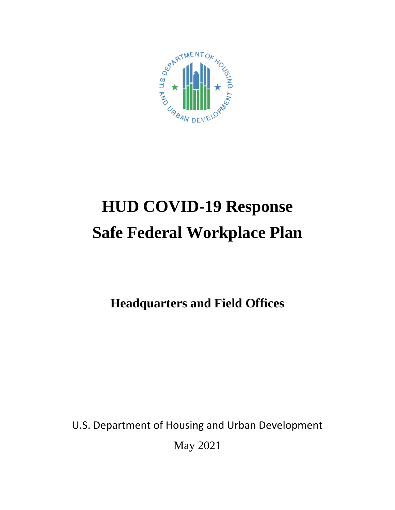

# **HUD COVID-19 Response Safe Federal Workplace Plan**

**Headquarters and Field Offices** 

U.S. Department of Housing and Urban Development May 2021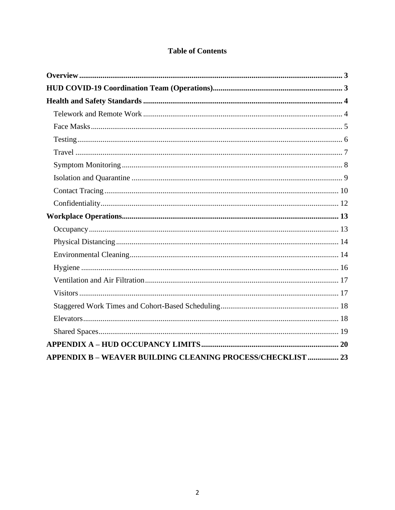## **Table of Contents**

| APPENDIX B - WEAVER BUILDING CLEANING PROCESS/CHECKLIST  23 |
|-------------------------------------------------------------|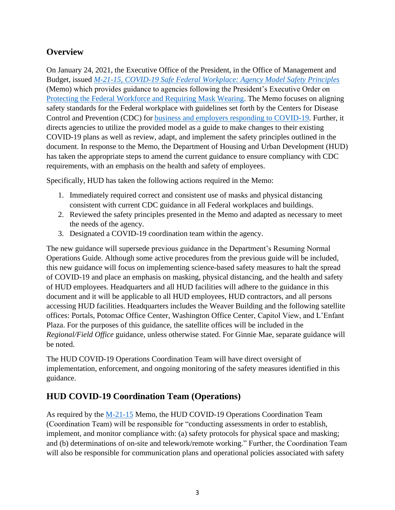# <span id="page-2-0"></span>**Overview**

On January 24, 2021, the Executive Office of the President, in the Office of Management and Budget, issued *[M-21-15, COVID-19 Safe Federal Workplace: Agency Model Safety Principles](https://www.whitehouse.gov/wp-content/uploads/2021/01/M-21-15.pdf)* (Memo) which provides guidance to agencies following the President's Executive Order on [Protecting the Federal Workforce and Requiring Mask Wearing.](https://www.whitehouse.gov/briefing-room/presidential-actions/2021/01/20/executive-order-protecting-the-federal-workforce-and-requiring-mask-wearing/) The Memo focuses on aligning safety standards for the Federal workplace with guidelines set forth by the Centers for Disease Control and Prevention (CDC) for [business and employers responding to COVID-19.](https://www.cdc.gov/coronavirus/2019-ncov/community/guidance-business-response.html) Further, it directs agencies to utilize the provided model as a guide to make changes to their existing COVID-19 plans as well as review, adapt, and implement the safety principles outlined in the document. In response to the Memo, the Department of Housing and Urban Development (HUD) has taken the appropriate steps to amend the current guidance to ensure compliancy with CDC requirements, with an emphasis on the health and safety of employees.

Specifically, HUD has taken the following actions required in the Memo:

- 1. Immediately required correct and consistent use of masks and physical distancing consistent with current CDC guidance in all Federal workplaces and buildings.
- 2. Reviewed the safety principles presented in the Memo and adapted as necessary to meet the needs of the agency.
- 3. Designated a COVID-19 coordination team within the agency.

The new guidance will supersede previous guidance in the Department's Resuming Normal Operations Guide. Although some active procedures from the previous guide will be included, this new guidance will focus on implementing science-based safety measures to halt the spread of COVID-19 and place an emphasis on masking, physical distancing, and the health and safety of HUD employees. Headquarters and all HUD facilities will adhere to the guidance in this document and it will be applicable to all HUD employees, HUD contractors, and all persons accessing HUD facilities. Headquarters includes the Weaver Building and the following satellite offices: Portals, Potomac Office Center, Washington Office Center, Capitol View, and L'Enfant Plaza. For the purposes of this guidance, the satellite offices will be included in the *Regional/Field Office* guidance, unless otherwise stated. For Ginnie Mae, separate guidance will be noted.

The HUD COVID-19 Operations Coordination Team will have direct oversight of implementation, enforcement, and ongoing monitoring of the safety measures identified in this guidance.

## <span id="page-2-1"></span>**HUD COVID-19 Coordination Team (Operations)**

As required by the [M-21-15](https://www.whitehouse.gov/wp-content/uploads/2021/01/M-21-15.pdf) Memo, the HUD COVID-19 Operations Coordination Team (Coordination Team) will be responsible for "conducting assessments in order to establish, implement, and monitor compliance with: (a) safety protocols for physical space and masking; and (b) determinations of on-site and telework/remote working." Further, the Coordination Team will also be responsible for communication plans and operational policies associated with safety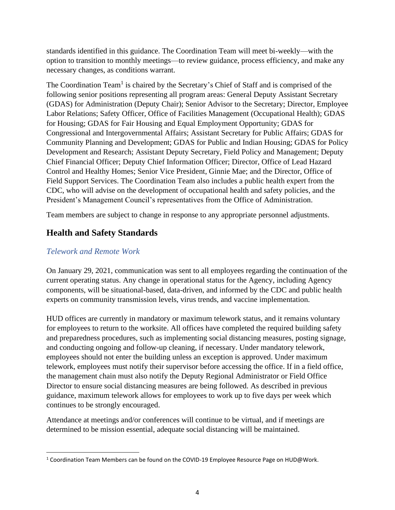standards identified in this guidance. The Coordination Team will meet bi-weekly—with the option to transition to monthly meetings—to review guidance, process efficiency, and make any necessary changes, as conditions warrant.

The Coordination Team<sup>1</sup> is chaired by the Secretary's Chief of Staff and is comprised of the following senior positions representing all program areas: General Deputy Assistant Secretary (GDAS) for Administration (Deputy Chair); Senior Advisor to the Secretary; Director, Employee Labor Relations; Safety Officer, Office of Facilities Management (Occupational Health); GDAS for Housing; GDAS for Fair Housing and Equal Employment Opportunity; GDAS for Congressional and Intergovernmental Affairs; Assistant Secretary for Public Affairs; GDAS for Community Planning and Development; GDAS for Public and Indian Housing; GDAS for Policy Development and Research; Assistant Deputy Secretary, Field Policy and Management; Deputy Chief Financial Officer; Deputy Chief Information Officer; Director, Office of Lead Hazard Control and Healthy Homes; Senior Vice President, Ginnie Mae; and the Director, Office of Field Support Services. The Coordination Team also includes a public health expert from the CDC, who will advise on the development of occupational health and safety policies, and the President's Management Council's representatives from the Office of Administration.

Team members are subject to change in response to any appropriate personnel adjustments.

# <span id="page-3-0"></span>**Health and Safety Standards**

## <span id="page-3-1"></span>*Telework and Remote Work*

On January 29, 2021, communication was sent to all employees regarding the continuation of the current operating status. Any change in operational status for the Agency, including Agency components, will be situational-based, data-driven, and informed by the CDC and public health experts on community transmission levels, virus trends, and vaccine implementation.

HUD offices are currently in mandatory or maximum telework status, and it remains voluntary for employees to return to the worksite. All offices have completed the required building safety and preparedness procedures, such as implementing social distancing measures, posting signage, and conducting ongoing and follow-up cleaning, if necessary. Under mandatory telework, employees should not enter the building unless an exception is approved. Under maximum telework, employees must notify their supervisor before accessing the office. If in a field office, the management chain must also notify the Deputy Regional Administrator or Field Office Director to ensure social distancing measures are being followed. As described in previous guidance, maximum telework allows for employees to work up to five days per week which continues to be strongly encouraged.

Attendance at meetings and/or conferences will continue to be virtual, and if meetings are determined to be mission essential, adequate social distancing will be maintained.

<sup>&</sup>lt;sup>1</sup> Coordination Team Members can be found on the COVID-19 Employee Resource Page on HUD@Work.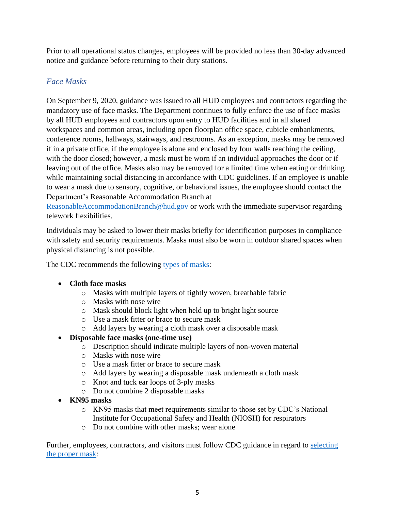Prior to all operational status changes, employees will be provided no less than 30-day advanced notice and guidance before returning to their duty stations.

## <span id="page-4-0"></span>*Face Masks*

On September 9, 2020, guidance was issued to all HUD employees and contractors regarding the mandatory use of face masks. The Department continues to fully enforce the use of face masks by all HUD employees and contractors upon entry to HUD facilities and in all shared workspaces and common areas, including open floorplan office space, cubicle embankments, conference rooms, hallways, stairways, and restrooms. As an exception, masks may be removed if in a private office, if the employee is alone and enclosed by four walls reaching the ceiling, with the door closed; however, a mask must be worn if an individual approaches the door or if leaving out of the office. Masks also may be removed for a limited time when eating or drinking while maintaining social distancing in accordance with CDC guidelines. If an employee is unable to wear a mask due to sensory, cognitive, or behavioral issues, the employee should contact the Department's Reasonable Accommodation Branch at

[ReasonableAccommodationBranch@hud.gov](mailto:ReasonableAccommodationBranch@hud.gov) or work with the immediate supervisor regarding telework flexibilities.

Individuals may be asked to lower their masks briefly for identification purposes in compliance with safety and security requirements. Masks must also be worn in outdoor shared spaces when physical distancing is not possible.

The CDC recommends the following [types of masks:](https://www.cdc.gov/coronavirus/2019-ncov/prevent-getting-sick/types-of-masks.html)

## • **Cloth face masks**

- o Masks with multiple layers of tightly woven, breathable fabric
- o Masks with nose wire
- o Mask should block light when held up to bright light source
- o Use a mask fitter or brace to secure mask
- o Add layers by wearing a cloth mask over a disposable mask

## • **Disposable face masks (one-time use)**

- o Description should indicate multiple layers of non-woven material
- o Masks with nose wire
- o Use a mask fitter or brace to secure mask
- o Add layers by wearing a disposable mask underneath a cloth mask
- o Knot and tuck ear loops of 3-ply masks
- o Do not combine 2 disposable masks
- **KN95 masks**
	- o KN95 masks that meet requirements similar to those set by CDC's National Institute for Occupational Safety and Health (NIOSH) for respirators
	- o Do not combine with other masks; wear alone

Further, employees, contractors, and visitors must follow CDC guidance in regard to selecting [the proper mask:](https://www.cdc.gov/coronavirus/2019-ncov/prevent-getting-sick/about-face-coverings.html)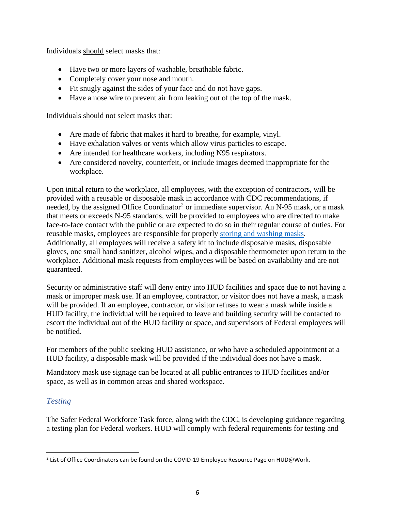Individuals should select masks that:

- Have two or more layers of washable, breathable fabric.
- Completely cover your nose and mouth.
- Fit snugly against the sides of your face and do not have gaps.
- Have a nose wire to prevent air from leaking out of the top of the mask.

Individuals should not select masks that:

- Are made of fabric that makes it hard to breathe, for example, vinyl.
- Have exhalation valves or vents which allow virus particles to escape.
- Are intended for healthcare workers, including N95 respirators.
- Are considered novelty, counterfeit, or include images deemed inappropriate for the workplace.

Upon initial return to the workplace, all employees, with the exception of contractors, will be provided with a reusable or disposable mask in accordance with CDC recommendations, if needed, by the assigned Office Coordinator<sup>2</sup> or immediate supervisor. An N-95 mask, or a mask that meets or exceeds N-95 standards, will be provided to employees who are directed to make face-to-face contact with the public or are expected to do so in their regular course of duties. For reusable masks, employees are responsible for properly [storing and washing masks.](https://www.cdc.gov/coronavirus/2019-ncov/prevent-getting-sick/how-to-wash-cloth-face-coverings.html) Additionally, all employees will receive a safety kit to include disposable masks, disposable gloves, one small hand sanitizer, alcohol wipes, and a disposable thermometer upon return to the workplace. Additional mask requests from employees will be based on availability and are not guaranteed.

Security or administrative staff will deny entry into HUD facilities and space due to not having a mask or improper mask use. If an employee, contractor, or visitor does not have a mask, a mask will be provided. If an employee, contractor, or visitor refuses to wear a mask while inside a HUD facility, the individual will be required to leave and building security will be contacted to escort the individual out of the HUD facility or space, and supervisors of Federal employees will be notified.

For members of the public seeking HUD assistance, or who have a scheduled appointment at a HUD facility, a disposable mask will be provided if the individual does not have a mask.

Mandatory mask use signage can be located at all public entrances to HUD facilities and/or space, as well as in common areas and shared workspace.

## <span id="page-5-0"></span>*Testing*

The Safer Federal Workforce Task force, along with the CDC, is developing guidance regarding a testing plan for Federal workers. HUD will comply with federal requirements for testing and

<sup>&</sup>lt;sup>2</sup> List of Office Coordinators can be found on the COVID-19 Employee Resource Page on HUD@Work.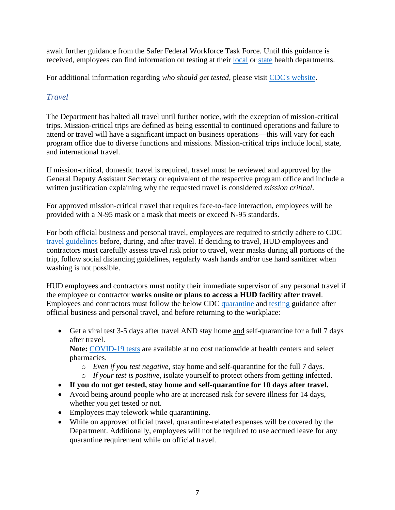await further guidance from the Safer Federal Workforce Task Force. Until this guidance is received, employees can find information on testing at their [local](https://www.naccho.org/membership/lhd-directory) or [state](https://www.cdc.gov/publichealthgateway/healthdirectories/healthdepartments.html) health departments.

For additional information regarding *who should get tested*, please visit [CDC's website.](https://www.cdc.gov/coronavirus/2019-ncov/testing/diagnostic-testing.html#who-should-get-tested)

## <span id="page-6-0"></span>*Travel*

The Department has halted all travel until further notice, with the exception of mission-critical trips. Mission-critical trips are defined as being essential to continued operations and failure to attend or travel will have a significant impact on business operations—this will vary for each program office due to diverse functions and missions. Mission-critical trips include local, state, and international travel.

If mission-critical, domestic travel is required, travel must be reviewed and approved by the General Deputy Assistant Secretary or equivalent of the respective program office and include a written justification explaining why the requested travel is considered *mission critical*.

For approved mission-critical travel that requires face-to-face interaction, employees will be provided with a N-95 mask or a mask that meets or exceed N-95 standards.

For both official business and personal travel, employees are required to strictly adhere to CDC [travel guidelines](https://www.cdc.gov/coronavirus/2019-ncov/travelers/index.html) before, during, and after travel. If deciding to travel, HUD employees and contractors must carefully assess travel risk prior to travel, wear masks during all portions of the trip, follow social distancing guidelines, regularly wash hands and/or use hand sanitizer when washing is not possible.

HUD employees and contractors must notify their immediate supervisor of any personal travel if the employee or contractor **works onsite or plans to access a HUD facility after travel**. Employees and contractors must follow the below CDC [quarantine](https://www.cdc.gov/coronavirus/2019-ncov/if-you-are-sick/quarantine.html) and [testing](https://www.cdc.gov/coronavirus/2019-ncov/travelers/testing-air-travel.html) guidance after official business and personal travel, and before returning to the workplace:

• Get a viral test 3-5 days after travel AND stay home and self-quarantine for a full 7 days after travel.

**Note:** [COVID-19 tests](https://www.hhs.gov/coronavirus/community-based-testing-sites/index.html) are available at no cost nationwide at health centers and select pharmacies.

- o *Even if you test negative*, stay home and self-quarantine for the full 7 days.
- o *If your test is positive*, isolate yourself to protect others from getting infected.
- **If you do not get tested, stay home and self-quarantine for 10 days after travel.**
- Avoid being around people who are at increased risk for severe illness for 14 days, whether you get tested or not.
- Employees may telework while quarantining.
- While on approved official travel, quarantine-related expenses will be covered by the Department. Additionally, employees will not be required to use accrued leave for any quarantine requirement while on official travel.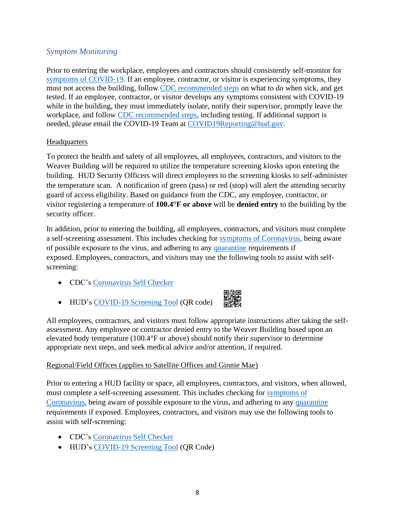## <span id="page-7-0"></span>*Symptom Monitoring*

Prior to entering the workplace, employees and contractors should consistently self-monitor for [symptoms of COVID-19.](https://www.cdc.gov/coronavirus/2019-ncov/symptoms-testing/symptoms.html) If an employee, contractor, or visitor is experiencing symptoms, they must not access the building, follow [CDC recommended steps](https://www.cdc.gov/coronavirus/2019-ncov/if-you-are-sick/steps-when-sick.html) on what to do when sick, and get tested. If an employee, contractor, or visitor develops any symptoms consistent with COVID-19 while in the building, they must immediately isolate, notify their supervisor, promptly leave the workplace, and follow [CDC recommended steps,](https://www.cdc.gov/coronavirus/2019-ncov/if-you-are-sick/steps-when-sick.html) including testing. If additional support is needed, please email the COVID-19 Team at [COVID19Reporting@hud.gov.](mailto:COVID19Reporting@hud.gov)

## **Headquarters**

To protect the health and safety of all employees, all employees, contractors, and visitors to the Weaver Building will be required to utilize the temperature screening kiosks upon entering the building. HUD Security Officers will direct employees to the screening kiosks to self-administer the temperature scan. A notification of green (pass) or red (stop) will alert the attending security guard of access eligibility. Based on guidance from the CDC, any employee, contractor, or visitor registering a temperature of **100.4°F or above** will be **denied entry** to the building by the security officer.

In addition, prior to entering the building, all employees, contractors, and visitors must complete a self-screening assessment. This includes checking for [symptoms of Coronavirus,](https://www.cdc.gov/coronavirus/2019-ncov/symptoms-testing/symptoms.html) being aware of possible exposure to the virus, and adhering to any [quarantine](https://www.cdc.gov/coronavirus/2019-ncov/if-you-are-sick/quarantine.html) requirements if exposed. Employees, contractors, and visitors may use the following tools to assist with selfscreening:

- CDC's [Coronavirus Self Checker](https://www.cdc.gov/coronavirus/2019-ncov/symptoms-testing/coronavirus-self-checker.html)
- HUD's [COVID-19 Screening Tool](https://www.hud.gov/screening) (QR code)



All employees, contractors, and visitors must follow appropriate instructions after taking the selfassessment. Any employee or contractor denied entry to the Weaver Building based upon an elevated body temperature (100.4°F or above) should notify their supervisor to determine appropriate next steps, and seek medical advice and/or attention, if required.

## Regional/Field Offices (applies to Satellite Offices and Ginnie Mae)

Prior to entering a HUD facility or space, all employees, contractors, and visitors, when allowed, must complete a self-screening assessment. This includes checking for [symptoms of](https://www.cdc.gov/coronavirus/2019-ncov/symptoms-testing/symptoms.html)  [Coronavirus,](https://www.cdc.gov/coronavirus/2019-ncov/symptoms-testing/symptoms.html) being aware of possible exposure to the virus, and adhering to any [quarantine](https://www.cdc.gov/coronavirus/2019-ncov/if-you-are-sick/quarantine.html) requirements if exposed. Employees, contractors, and visitors may use the following tools to assist with self-screening:

- CDC's [Coronavirus Self Checker](https://www.cdc.gov/coronavirus/2019-ncov/symptoms-testing/coronavirus-self-checker.html)
- HUD's [COVID-19 Screening Tool](https://www.hud.gov/screening) (QR Code)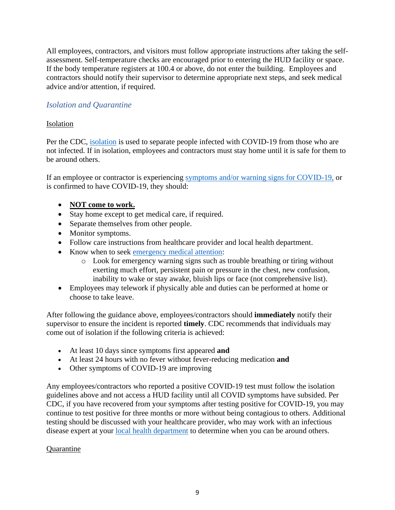All employees, contractors, and visitors must follow appropriate instructions after taking the selfassessment. Self-temperature checks are encouraged prior to entering the HUD facility or space. If the body temperature registers at 100.4 or above, do not enter the building. Employees and contractors should notify their supervisor to determine appropriate next steps, and seek medical advice and/or attention, if required.

## <span id="page-8-0"></span>*Isolation and Quarantine*

## Isolation

Per the CDC, [isolation](https://www.cdc.gov/coronavirus/2019-ncov/if-you-are-sick/isolation.html) is used to separate people infected with COVID-19 from those who are not infected. If in isolation, employees and contractors must stay home until it is safe for them to be around others.

If an employee or contractor is experiencing [symptoms and/or warning signs for COVID-19,](https://www.cdc.gov/coronavirus/2019-ncov/symptoms-testing/symptoms.html) or is confirmed to have COVID-19, they should:

## • **NOT come to work.**

- Stay home except to get medical care, if required.
- Separate themselves from other people.
- Monitor symptoms.
- Follow care instructions from healthcare provider and local health department.
- Know when to seek [emergency medical attention:](https://www.cdc.gov/coronavirus/2019-ncov/if-you-are-sick/steps-when-sick.html)
	- o Look for emergency warning signs such as trouble breathing or tiring without exerting much effort, persistent pain or pressure in the chest, new confusion, inability to wake or stay awake, bluish lips or face (not comprehensive list).
- Employees may telework if physically able and duties can be performed at home or choose to take leave.

After following the guidance above, employees/contractors should **immediately** notify their supervisor to ensure the incident is reported **timely**. CDC recommends that individuals may come out of isolation if the following criteria is achieved:

- At least 10 days since symptoms first appeared **and**
- At least 24 hours with no fever without fever-reducing medication **and**
- Other symptoms of COVID-19 are improving

Any employees/contractors who reported a positive COVID-19 test must follow the isolation guidelines above and not access a HUD facility until all COVID symptoms have subsided. Per CDC, if you have recovered from your symptoms after testing positive for COVID-19, you may continue to test positive for three months or more without being contagious to others. Additional testing should be discussed with your healthcare provider, who may work with an infectious disease expert at your [local health department](https://www.cdc.gov/publichealthgateway/healthdirectories/index.html) to determine when you can be around others.

## **Quarantine**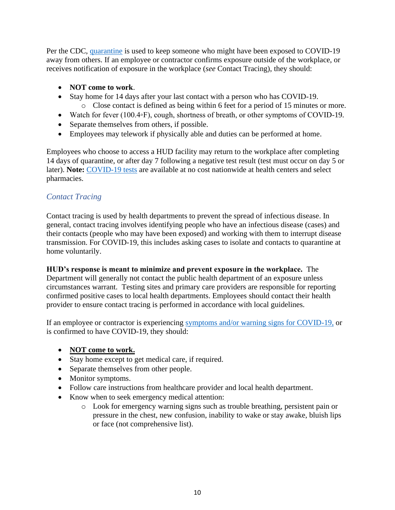Per the CDC, [quarantine](https://www.cdc.gov/coronavirus/2019-ncov/if-you-are-sick/quarantine.html) is used to keep someone who might have been exposed to COVID-19 away from others. If an employee or contractor confirms exposure outside of the workplace, or receives notification of exposure in the workplace (*see* Contact Tracing), they should:

- **NOT come to work**.
- Stay home for 14 days after your last contact with a person who has COVID-19.
	- o Close contact is defined as being within 6 feet for a period of 15 minutes or more.
- Watch for fever (100.4◦F), cough, shortness of breath, or other symptoms of COVID-19.
- Separate themselves from others, if possible.
- Employees may telework if physically able and duties can be performed at home.

Employees who choose to access a HUD facility may return to the workplace after completing 14 days of quarantine, or after day 7 following a negative test result (test must occur on day 5 or later). **Note:** [COVID-19 tests](https://www.hhs.gov/coronavirus/community-based-testing-sites/index.html) are available at no cost nationwide at health centers and select pharmacies.

## <span id="page-9-0"></span>*Contact Tracing*

Contact tracing is used by health departments to prevent the spread of infectious disease. In general, contact tracing involves identifying people who have an infectious disease (cases) and their contacts (people who may have been exposed) and working with them to interrupt disease transmission. For COVID-19, this includes asking cases to isolate and contacts to quarantine at home voluntarily.

## **HUD's response is meant to minimize and prevent exposure in the workplace.** The

Department will generally not contact the public health department of an exposure unless circumstances warrant. Testing sites and primary care providers are responsible for reporting confirmed positive cases to local health departments. Employees should contact their health provider to ensure contact tracing is performed in accordance with local guidelines.

If an employee or contractor is experiencing [symptoms and/or warning signs for COVID-19,](https://www.cdc.gov/coronavirus/2019-ncov/symptoms-testing/symptoms.html) or is confirmed to have COVID-19, they should:

- **NOT come to work.**
- Stay home except to get medical care, if required.
- Separate themselves from other people.
- Monitor symptoms.
- Follow care instructions from healthcare provider and local health department.
- Know when to seek emergency medical attention:
	- o Look for emergency warning signs such as trouble breathing, persistent pain or pressure in the chest, new confusion, inability to wake or stay awake, bluish lips or face (not comprehensive list).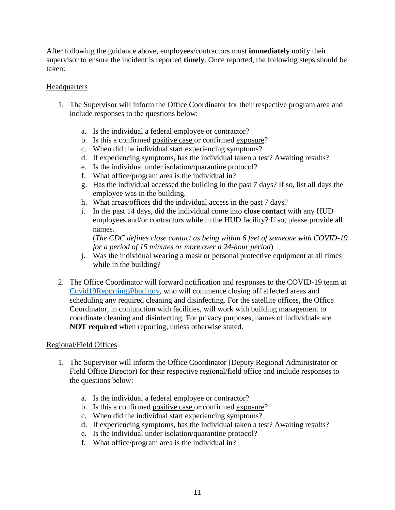After following the guidance above, employees/contractors must **immediately** notify their supervisor to ensure the incident is reported **timely**. Once reported, the following steps should be taken:

#### **Headquarters**

- 1. The Supervisor will inform the Office Coordinator for their respective program area and include responses to the questions below:
	- a. Is the individual a federal employee or contractor?
	- b. Is this a confirmed positive case or confirmed exposure?
	- c. When did the individual start experiencing symptoms?
	- d. If experiencing symptoms, has the individual taken a test? Awaiting results?
	- e. Is the individual under isolation/quarantine protocol?
	- f. What office/program area is the individual in?
	- g. Has the individual accessed the building in the past 7 days? If so, list all days the employee was in the building.
	- h. What areas/offices did the individual access in the past 7 days?
	- i. In the past 14 days, did the individual come into **close contact** with any HUD employees and/or contractors while in the HUD facility? If so, please provide all names.

(*The CDC defines close contact as being within 6 feet of someone with COVID-19 for a period of 15 minutes or more over a 24-hour period*)

- j. Was the individual wearing a mask or personal protective equipment at all times while in the building?
- 2. The Office Coordinator will forward notification and responses to the COVID-19 team at [Covid19Reporting@hud.gov,](mailto:Covid19Reporting@hud.gov) who will commence closing off affected areas and scheduling any required cleaning and disinfecting. For the satellite offices, the Office Coordinator, in conjunction with facilities, will work with building management to coordinate cleaning and disinfecting. For privacy purposes, names of individuals are **NOT required** when reporting, unless otherwise stated.

#### Regional/Field Offices

- 1. The Supervisor will inform the Office Coordinator (Deputy Regional Administrator or Field Office Director) for their respective regional/field office and include responses to the questions below:
	- a. Is the individual a federal employee or contractor?
	- b. Is this a confirmed positive case or confirmed exposure?
	- c. When did the individual start experiencing symptoms?
	- d. If experiencing symptoms, has the individual taken a test? Awaiting results?
	- e. Is the individual under isolation/quarantine protocol?
	- f. What office/program area is the individual in?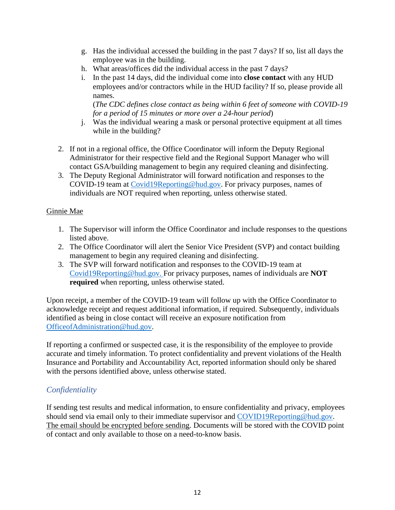- g. Has the individual accessed the building in the past 7 days? If so, list all days the employee was in the building.
- h. What areas/offices did the individual access in the past 7 days?
- i. In the past 14 days, did the individual come into **close contact** with any HUD employees and/or contractors while in the HUD facility? If so, please provide all names.

(*The CDC defines close contact as being within 6 feet of someone with COVID-19 for a period of 15 minutes or more over a 24-hour period*)

- j. Was the individual wearing a mask or personal protective equipment at all times while in the building?
- 2. If not in a regional office, the Office Coordinator will inform the Deputy Regional Administrator for their respective field and the Regional Support Manager who will contact GSA/building management to begin any required cleaning and disinfecting.
- 3. The Deputy Regional Administrator will forward notification and responses to the COVID-19 team at [Covid19Reporting@hud.gov.](mailto:Covid19Reporting@hud.gov) For privacy purposes, names of individuals are NOT required when reporting, unless otherwise stated.

## Ginnie Mae

- 1. The Supervisor will inform the Office Coordinator and include responses to the questions listed above.
- 2. The Office Coordinator will alert the Senior Vice President (SVP) and contact building management to begin any required cleaning and disinfecting.
- 3. The SVP will forward notification and responses to the COVID-19 team at [Covid19Reporting@hud.gov.](mailto:Covid19Reporting@hud.gov) For privacy purposes, names of individuals are **NOT required** when reporting, unless otherwise stated.

Upon receipt, a member of the COVID-19 team will follow up with the Office Coordinator to acknowledge receipt and request additional information, if required. Subsequently, individuals identified as being in close contact will receive an exposure notification from [OfficeofAdministration@hud.gov.](mailto:OfficeofAdministration@hud.gov)

If reporting a confirmed or suspected case, it is the responsibility of the employee to provide accurate and timely information. To protect confidentiality and prevent violations of the Health Insurance and Portability and Accountability Act, reported information should only be shared with the persons identified above, unless otherwise stated.

## <span id="page-11-0"></span>*Confidentiality*

If sending test results and medical information, to ensure confidentiality and privacy, employees should send via email only to their immediate supervisor and [COVID19Reporting@hud.gov.](mailto:COVID19Reporting@hud.gov) The email should be encrypted before sending. Documents will be stored with the COVID point of contact and only available to those on a need-to-know basis.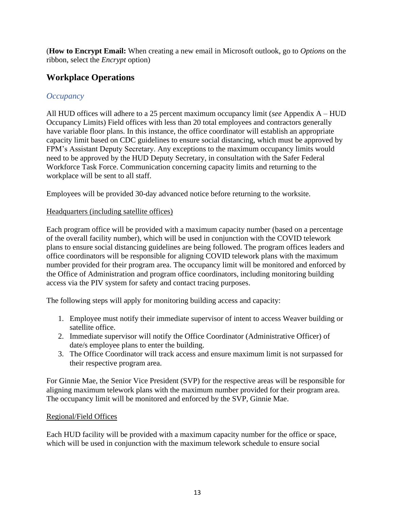(**How to Encrypt Email:** When creating a new email in Microsoft outlook, go to *Options* on the ribbon, select the *Encrypt* option)

# <span id="page-12-0"></span>**Workplace Operations**

## <span id="page-12-1"></span>*Occupancy*

All HUD offices will adhere to a 25 percent maximum occupancy limit (*see* Appendix A – HUD Occupancy Limits) Field offices with less than 20 total employees and contractors generally have variable floor plans. In this instance, the office coordinator will establish an appropriate capacity limit based on CDC guidelines to ensure social distancing, which must be approved by FPM's Assistant Deputy Secretary. Any exceptions to the maximum occupancy limits would need to be approved by the HUD Deputy Secretary, in consultation with the Safer Federal Workforce Task Force. Communication concerning capacity limits and returning to the workplace will be sent to all staff.

Employees will be provided 30-day advanced notice before returning to the worksite.

## Headquarters (including satellite offices)

Each program office will be provided with a maximum capacity number (based on a percentage of the overall facility number), which will be used in conjunction with the COVID telework plans to ensure social distancing guidelines are being followed. The program offices leaders and office coordinators will be responsible for aligning COVID telework plans with the maximum number provided for their program area. The occupancy limit will be monitored and enforced by the Office of Administration and program office coordinators, including monitoring building access via the PIV system for safety and contact tracing purposes.

The following steps will apply for monitoring building access and capacity:

- 1. Employee must notify their immediate supervisor of intent to access Weaver building or satellite office.
- 2. Immediate supervisor will notify the Office Coordinator (Administrative Officer) of date/s employee plans to enter the building.
- 3. The Office Coordinator will track access and ensure maximum limit is not surpassed for their respective program area.

For Ginnie Mae, the Senior Vice President (SVP) for the respective areas will be responsible for aligning maximum telework plans with the maximum number provided for their program area. The occupancy limit will be monitored and enforced by the SVP, Ginnie Mae.

## Regional/Field Offices

Each HUD facility will be provided with a maximum capacity number for the office or space, which will be used in conjunction with the maximum telework schedule to ensure social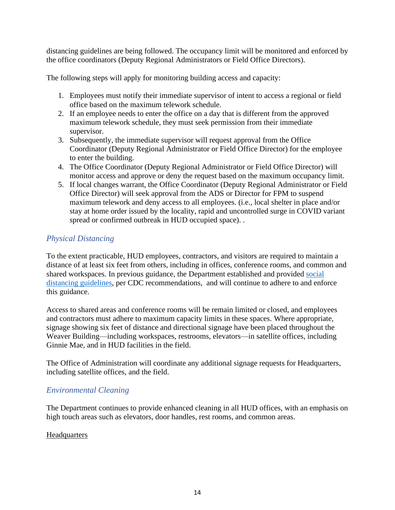distancing guidelines are being followed. The occupancy limit will be monitored and enforced by the office coordinators (Deputy Regional Administrators or Field Office Directors).

The following steps will apply for monitoring building access and capacity:

- 1. Employees must notify their immediate supervisor of intent to access a regional or field office based on the maximum telework schedule.
- 2. If an employee needs to enter the office on a day that is different from the approved maximum telework schedule, they must seek permission from their immediate supervisor.
- 3. Subsequently, the immediate supervisor will request approval from the Office Coordinator (Deputy Regional Administrator or Field Office Director) for the employee to enter the building.
- 4. The Office Coordinator (Deputy Regional Administrator or Field Office Director) will monitor access and approve or deny the request based on the maximum occupancy limit.
- 5. If local changes warrant, the Office Coordinator (Deputy Regional Administrator or Field Office Director) will seek approval from the ADS or Director for FPM to suspend maximum telework and deny access to all employees. (i.e., local shelter in place and/or stay at home order issued by the locality, rapid and uncontrolled surge in COVID variant spread or confirmed outbreak in HUD occupied space). .

## <span id="page-13-0"></span>*Physical Distancing*

To the extent practicable, HUD employees, contractors, and visitors are required to maintain a distance of at least six feet from others, including in offices, conference rooms, and common and shared workspaces. In previous guidance, the Department established and provided [social](https://www.cdc.gov/coronavirus/2019-ncov/prevent-getting-sick/social-distancing.html)  [distancing guidelines,](https://www.cdc.gov/coronavirus/2019-ncov/prevent-getting-sick/social-distancing.html) per CDC recommendations, and will continue to adhere to and enforce this guidance.

Access to shared areas and conference rooms will be remain limited or closed, and employees and contractors must adhere to maximum capacity limits in these spaces. Where appropriate, signage showing six feet of distance and directional signage have been placed throughout the Weaver Building—including workspaces, restrooms, elevators—in satellite offices, including Ginnie Mae, and in HUD facilities in the field.

The Office of Administration will coordinate any additional signage requests for Headquarters, including satellite offices, and the field.

## <span id="page-13-1"></span>*Environmental Cleaning*

The Department continues to provide enhanced cleaning in all HUD offices, with an emphasis on high touch areas such as elevators, door handles, rest rooms, and common areas.

## **Headquarters**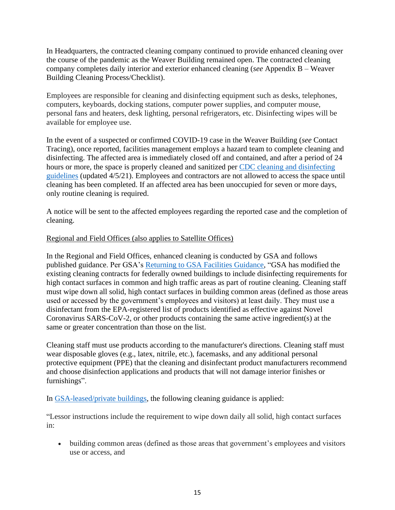In Headquarters, the contracted cleaning company continued to provide enhanced cleaning over the course of the pandemic as the Weaver Building remained open. The contracted cleaning company completes daily interior and exterior enhanced cleaning (*see* Appendix B – Weaver Building Cleaning Process/Checklist).

Employees are responsible for cleaning and disinfecting equipment such as desks, telephones, computers, keyboards, docking stations, computer power supplies, and computer mouse, personal fans and heaters, desk lighting, personal refrigerators, etc. Disinfecting wipes will be available for employee use.

In the event of a suspected or confirmed COVID-19 case in the Weaver Building (*see* Contact Tracing), once reported, facilities management employs a hazard team to complete cleaning and disinfecting. The affected area is immediately closed off and contained, and after a period of 24 hours or more, the space is properly cleaned and sanitized per [CDC cleaning and disinfecting](https://www.cdc.gov/coronavirus/2019-ncov/community/disinfecting-building-facility.html)  [guidelines](https://www.cdc.gov/coronavirus/2019-ncov/community/disinfecting-building-facility.html) (updated 4/5/21). Employees and contractors are not allowed to access the space until cleaning has been completed. If an affected area has been unoccupied for seven or more days, only routine cleaning is required.

A notice will be sent to the affected employees regarding the reported case and the completion of cleaning.

#### Regional and Field Offices (also applies to Satellite Offices)

In the Regional and Field Offices, enhanced cleaning is conducted by GSA and follows published guidance. Per GSA's [Returning to GSA Facilities Guidance,](https://www.gsa.gov/governmentwide-initiatives/emergency-response/returning-to-gsa-facilities/returning-to-facilities-federally-owned-building-management#5) "GSA has modified the existing cleaning contracts for federally owned buildings to include disinfecting requirements for high contact surfaces in common and high traffic areas as part of routine cleaning. Cleaning staff must wipe down all solid, high contact surfaces in building common areas (defined as those areas used or accessed by the government's employees and visitors) at least daily. They must use a disinfectant from the EPA-registered list of products identified as effective against Novel Coronavirus SARS-CoV-2, or other products containing the same active ingredient(s) at the same or greater concentration than those on the list.

Cleaning staff must use products according to the manufacturer's directions. Cleaning staff must wear disposable gloves (e.g., latex, nitrile, etc.), facemasks, and any additional personal protective equipment (PPE) that the cleaning and disinfectant product manufacturers recommend and choose disinfection applications and products that will not damage interior finishes or furnishings".

In [GSA-leased/private buildings,](https://www.gsa.gov/governmentwide-initiatives/emergency-response/returning-to-gsa-facilities/returning-to-facilities-gsa-leased-locations#4) the following cleaning guidance is applied:

"Lessor instructions include the requirement to wipe down daily all solid, high contact surfaces in:

• building common areas (defined as those areas that government's employees and visitors use or access, and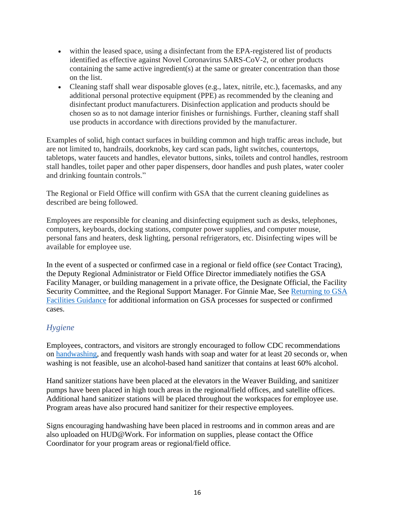- within the leased space, using a disinfectant from the EPA-registered list of products identified as effective against Novel Coronavirus SARS-CoV-2, or other products containing the same active ingredient(s) at the same or greater concentration than those on the list.
- Cleaning staff shall wear disposable gloves (e.g., latex, nitrile, etc.), facemasks, and any additional personal protective equipment (PPE) as recommended by the cleaning and disinfectant product manufacturers. Disinfection application and products should be chosen so as to not damage interior finishes or furnishings. Further, cleaning staff shall use products in accordance with directions provided by the manufacturer.

Examples of solid, high contact surfaces in building common and high traffic areas include, but are not limited to, handrails, doorknobs, key card scan pads, light switches, countertops, tabletops, water faucets and handles, elevator buttons, sinks, toilets and control handles, restroom stall handles, toilet paper and other paper dispensers, door handles and push plates, water cooler and drinking fountain controls."

The Regional or Field Office will confirm with GSA that the current cleaning guidelines as described are being followed.

Employees are responsible for cleaning and disinfecting equipment such as desks, telephones, computers, keyboards, docking stations, computer power supplies, and computer mouse, personal fans and heaters, desk lighting, personal refrigerators, etc. Disinfecting wipes will be available for employee use.

In the event of a suspected or confirmed case in a regional or field office (*see* Contact Tracing), the Deputy Regional Administrator or Field Office Director immediately notifies the GSA Facility Manager, or building management in a private office, the Designate Official, the Facility Security Committee, and the Regional Support Manager. For Ginnie Mae, See [Returning to GSA](https://www.gsa.gov/governmentwide-initiatives/emergency-response/returning-to-gsa-facilities/returning-to-facilities-federally-owned-building-management#5)  [Facilities Guidance](https://www.gsa.gov/governmentwide-initiatives/emergency-response/returning-to-gsa-facilities/returning-to-facilities-federally-owned-building-management#5) for additional information on GSA processes for suspected or confirmed cases.

## <span id="page-15-0"></span>*Hygiene*

Employees, contractors, and visitors are strongly encouraged to follow CDC recommendations on [handwashing,](https://www.cdc.gov/coronavirus/2019-ncov/global-covid-19/handwashing.html) and frequently wash hands with soap and water for at least 20 seconds or, when washing is not feasible, use an alcohol-based hand sanitizer that contains at least 60% alcohol.

Hand sanitizer stations have been placed at the elevators in the Weaver Building, and sanitizer pumps have been placed in high touch areas in the regional/field offices, and satellite offices. Additional hand sanitizer stations will be placed throughout the workspaces for employee use. Program areas have also procured hand sanitizer for their respective employees.

Signs encouraging handwashing have been placed in restrooms and in common areas and are also uploaded on HUD@Work. For information on supplies, please contact the Office Coordinator for your program areas or regional/field office.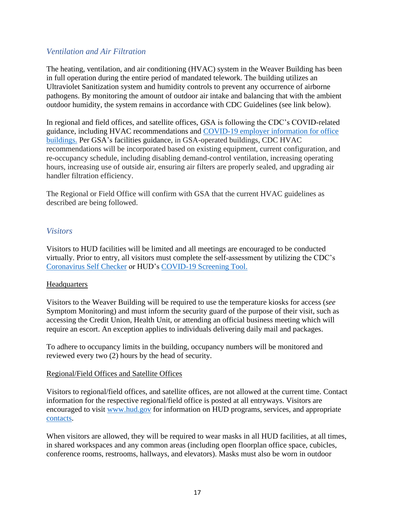## <span id="page-16-0"></span>*Ventilation and Air Filtration*

The heating, ventilation, and air conditioning (HVAC) system in the Weaver Building has been in full operation during the entire period of mandated telework. The building utilizes an Ultraviolet Sanitization system and humidity controls to prevent any occurrence of airborne pathogens. By monitoring the amount of outdoor air intake and balancing that with the ambient outdoor humidity, the system remains in accordance with CDC Guidelines (see link below).

In regional and field offices, and satellite offices, GSA is following the CDC's COVID-related guidance, including HVAC recommendations and [COVID-19 employer information for office](https://www.cdc.gov/coronavirus/2019-ncov/community/office-buildings.html)  [buildings.](https://www.cdc.gov/coronavirus/2019-ncov/community/office-buildings.html) Per GSA's facilities guidance, in GSA-operated buildings, CDC HVAC recommendations will be incorporated based on existing equipment, current configuration, and re-occupancy schedule, including disabling demand-control ventilation, increasing operating hours, increasing use of outside air, ensuring air filters are properly sealed, and upgrading air handler filtration efficiency.

The Regional or Field Office will confirm with GSA that the current HVAC guidelines as described are being followed.

## <span id="page-16-1"></span>*Visitors*

Visitors to HUD facilities will be limited and all meetings are encouraged to be conducted virtually. Prior to entry, all visitors must complete the self-assessment by utilizing the CDC's [Coronavirus Self Checker](https://www.cdc.gov/coronavirus/2019-ncov/symptoms-testing/coronavirus-self-checker.html) or HUD's [COVID-19 Screening Tool.](https://www.hud.gov/screening)

## **Headquarters**

Visitors to the Weaver Building will be required to use the temperature kiosks for access (*see* Symptom Monitoring) and must inform the security guard of the purpose of their visit, such as accessing the Credit Union, Health Unit, or attending an official business meeting which will require an escort. An exception applies to individuals delivering daily mail and packages.

To adhere to occupancy limits in the building, occupancy numbers will be monitored and reviewed every two (2) hours by the head of security.

## Regional/Field Offices and Satellite Offices

Visitors to regional/field offices, and satellite offices, are not allowed at the current time. Contact information for the respective regional/field office is posted at all entryways. Visitors are encouraged to visit [www.hud.gov](http://www.hud.gov/) for information on HUD programs, services, and appropriate [contacts.](https://www.hud.gov/contact)

When visitors are allowed, they will be required to wear masks in all HUD facilities, at all times, in shared workspaces and any common areas (including open floorplan office space, cubicles, conference rooms, restrooms, hallways, and elevators). Masks must also be worn in outdoor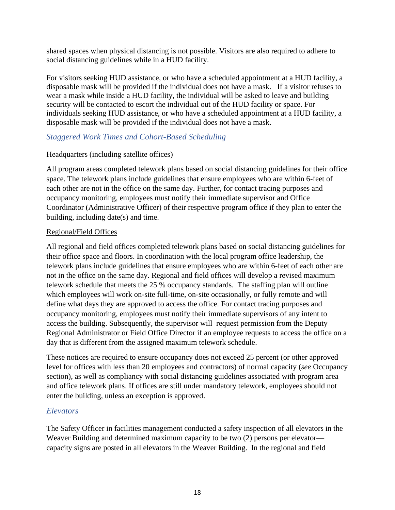shared spaces when physical distancing is not possible. Visitors are also required to adhere to social distancing guidelines while in a HUD facility.

For visitors seeking HUD assistance, or who have a scheduled appointment at a HUD facility, a disposable mask will be provided if the individual does not have a mask. If a visitor refuses to wear a mask while inside a HUD facility, the individual will be asked to leave and building security will be contacted to escort the individual out of the HUD facility or space. For individuals seeking HUD assistance, or who have a scheduled appointment at a HUD facility, a disposable mask will be provided if the individual does not have a mask.

## <span id="page-17-0"></span>*Staggered Work Times and Cohort-Based Scheduling*

#### Headquarters (including satellite offices)

All program areas completed telework plans based on social distancing guidelines for their office space. The telework plans include guidelines that ensure employees who are within 6-feet of each other are not in the office on the same day. Further, for contact tracing purposes and occupancy monitoring, employees must notify their immediate supervisor and Office Coordinator (Administrative Officer) of their respective program office if they plan to enter the building, including date(s) and time.

#### Regional/Field Offices

All regional and field offices completed telework plans based on social distancing guidelines for their office space and floors. In coordination with the local program office leadership, the telework plans include guidelines that ensure employees who are within 6-feet of each other are not in the office on the same day. Regional and field offices will develop a revised maximum telework schedule that meets the 25 % occupancy standards. The staffing plan will outline which employees will work on-site full-time, on-site occasionally, or fully remote and will define what days they are approved to access the office. For contact tracing purposes and occupancy monitoring, employees must notify their immediate supervisors of any intent to access the building. Subsequently, the supervisor will request permission from the Deputy Regional Administrator or Field Office Director if an employee requests to access the office on a day that is different from the assigned maximum telework schedule.

These notices are required to ensure occupancy does not exceed 25 percent (or other approved level for offices with less than 20 employees and contractors) of normal capacity (*see* Occupancy section), as well as compliancy with social distancing guidelines associated with program area and office telework plans. If offices are still under mandatory telework, employees should not enter the building, unless an exception is approved.

## <span id="page-17-1"></span>*Elevators*

The Safety Officer in facilities management conducted a safety inspection of all elevators in the Weaver Building and determined maximum capacity to be two (2) persons per elevator capacity signs are posted in all elevators in the Weaver Building. In the regional and field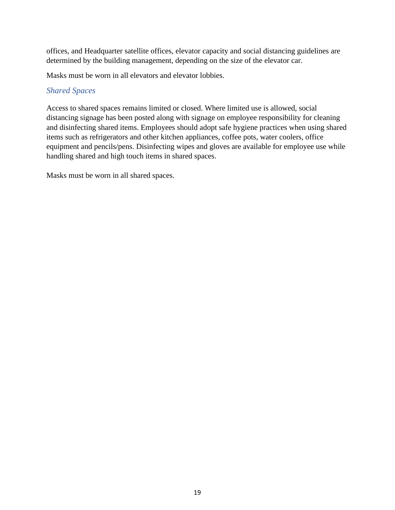offices, and Headquarter satellite offices, elevator capacity and social distancing guidelines are determined by the building management, depending on the size of the elevator car.

Masks must be worn in all elevators and elevator lobbies.

## <span id="page-18-0"></span>*Shared Spaces*

Access to shared spaces remains limited or closed. Where limited use is allowed, social distancing signage has been posted along with signage on employee responsibility for cleaning and disinfecting shared items. Employees should adopt safe hygiene practices when using shared items such as refrigerators and other kitchen appliances, coffee pots, water coolers, office equipment and pencils/pens. Disinfecting wipes and gloves are available for employee use while handling shared and high touch items in shared spaces.

Masks must be worn in all shared spaces.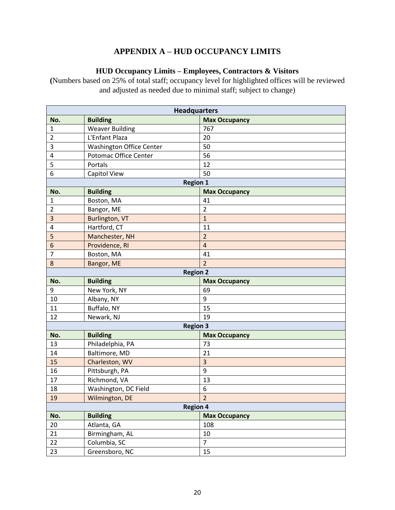# **APPENDIX A – HUD OCCUPANCY LIMITS**

## **HUD Occupancy Limits – Employees, Contractors & Visitors**

<span id="page-19-0"></span>**(**Numbers based on 25% of total staff; occupancy level for highlighted offices will be reviewed and adjusted as needed due to minimal staff; subject to change)

| <b>Headquarters</b> |                                 |                      |  |  |
|---------------------|---------------------------------|----------------------|--|--|
| No.                 | <b>Building</b>                 | <b>Max Occupancy</b> |  |  |
| $\mathbf{1}$        | <b>Weaver Building</b>          | 767                  |  |  |
| $\overline{2}$      | L'Enfant Plaza                  | 20                   |  |  |
| 3                   | <b>Washington Office Center</b> | 50                   |  |  |
| 4                   | Potomac Office Center           | 56                   |  |  |
| 5                   | Portals                         | 12                   |  |  |
| 6                   | Capitol View                    | 50                   |  |  |
| <b>Region 1</b>     |                                 |                      |  |  |
| No.                 | <b>Building</b>                 | <b>Max Occupancy</b> |  |  |
| 1                   | Boston, MA                      | 41                   |  |  |
| $\overline{2}$      | Bangor, ME                      | $\overline{2}$       |  |  |
| 3                   | Burlington, VT                  | $\mathbf{1}$         |  |  |
| 4                   | Hartford, CT                    | 11                   |  |  |
| 5                   | Manchester, NH                  | $\overline{2}$       |  |  |
| 6                   | Providence, RI                  | $\overline{4}$       |  |  |
| 7                   | Boston, MA                      | 41                   |  |  |
| 8                   | Bangor, ME                      | $\overline{2}$       |  |  |
|                     | <b>Region 2</b>                 |                      |  |  |
| No.                 | <b>Building</b>                 | <b>Max Occupancy</b> |  |  |
| 9                   | New York, NY                    | 69                   |  |  |
| 10                  | Albany, NY                      | 9                    |  |  |
| 11                  | Buffalo, NY                     | 15                   |  |  |
| 12                  | Newark, NJ                      | 19                   |  |  |
|                     | <b>Region 3</b>                 |                      |  |  |
| No.                 | <b>Building</b>                 | <b>Max Occupancy</b> |  |  |
| 13                  | Philadelphia, PA                | 73                   |  |  |
| 14                  | Baltimore, MD                   | 21                   |  |  |
| 15                  | Charleston, WV                  | 3                    |  |  |
| 16                  | Pittsburgh, PA                  | 9                    |  |  |
| 17                  | Richmond, VA                    | 13                   |  |  |
| 18                  | Washington, DC Field            | 6                    |  |  |
| 19                  | Wilmington, DE                  | $\overline{2}$       |  |  |
|                     | <b>Region 4</b>                 |                      |  |  |
| No.                 | <b>Building</b>                 | <b>Max Occupancy</b> |  |  |
| 20                  | Atlanta, GA                     | 108                  |  |  |
| 21                  | Birmingham, AL                  | 10                   |  |  |
| 22                  | Columbia, SC                    | $\overline{7}$       |  |  |
| 23                  | Greensboro, NC                  | 15                   |  |  |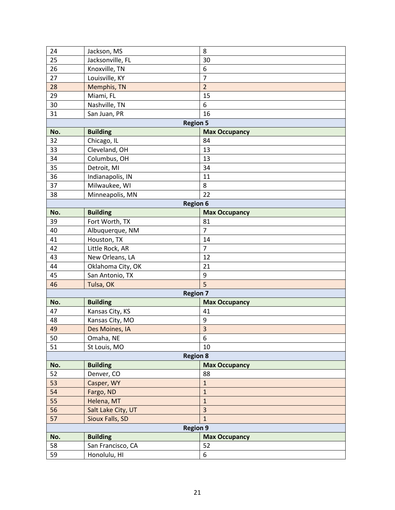| 24              | Jackson, MS        | 8                       |  |  |
|-----------------|--------------------|-------------------------|--|--|
| 25              | Jacksonville, FL   | 30                      |  |  |
| 26              | Knoxville, TN      | 6                       |  |  |
| 27              | Louisville, KY     | $\overline{7}$          |  |  |
| 28              | Memphis, TN        | $\overline{2}$          |  |  |
| 29              | Miami, FL          | 15                      |  |  |
| 30              | Nashville, TN      | 6                       |  |  |
| 31              | San Juan, PR       | 16                      |  |  |
| <b>Region 5</b> |                    |                         |  |  |
| No.             | <b>Building</b>    | <b>Max Occupancy</b>    |  |  |
| 32              | Chicago, IL        | 84                      |  |  |
| 33              | Cleveland, OH      | 13                      |  |  |
| 34              | Columbus, OH       | 13                      |  |  |
| 35              | Detroit, MI        | 34                      |  |  |
| 36              | Indianapolis, IN   | 11                      |  |  |
| 37              | Milwaukee, WI      | 8                       |  |  |
| 38              | Minneapolis, MN    | 22                      |  |  |
|                 | <b>Region 6</b>    |                         |  |  |
| No.             | <b>Building</b>    | <b>Max Occupancy</b>    |  |  |
| 39              | Fort Worth, TX     | 81                      |  |  |
| 40              | Albuquerque, NM    | $\overline{7}$          |  |  |
| 41              | Houston, TX        | 14                      |  |  |
| 42              | Little Rock, AR    | $\overline{7}$          |  |  |
| 43              | New Orleans, LA    | 12                      |  |  |
| 44              | Oklahoma City, OK  | 21                      |  |  |
| 45              | San Antonio, TX    | 9                       |  |  |
| 46              | Tulsa, OK          | $\overline{5}$          |  |  |
|                 | <b>Region 7</b>    |                         |  |  |
| No.             | <b>Building</b>    | <b>Max Occupancy</b>    |  |  |
| 47              | Kansas City, KS    | 41                      |  |  |
| 48              | Kansas City, MO    | 9                       |  |  |
| 49              | Des Moines, IA     | $\overline{\mathbf{3}}$ |  |  |
| 50              | Omaha, NE          | 6                       |  |  |
| 51              | St Louis, MO       | 10                      |  |  |
|                 | <b>Region 8</b>    |                         |  |  |
| No.             | <b>Building</b>    | <b>Max Occupancy</b>    |  |  |
| 52              | Denver, CO         | 88                      |  |  |
| 53              | Casper, WY         | $\mathbf 1$             |  |  |
| 54              | Fargo, ND          | $\mathbf{1}$            |  |  |
| 55              | Helena, MT         | $\mathbf{1}$            |  |  |
| 56              | Salt Lake City, UT | $\overline{\mathbf{3}}$ |  |  |
| 57              | Sioux Falls, SD    | $\mathbf{1}$            |  |  |
|                 | <b>Region 9</b>    |                         |  |  |
| No.             | <b>Building</b>    | <b>Max Occupancy</b>    |  |  |
| 58              | San Francisco, CA  | 52                      |  |  |
| 59              | Honolulu, HI       | 6                       |  |  |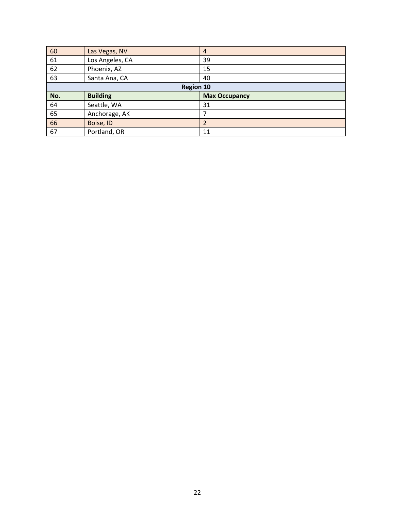| 60               | Las Vegas, NV   | $\overline{4}$       |  |  |
|------------------|-----------------|----------------------|--|--|
| 61               | Los Angeles, CA | 39                   |  |  |
| 62               | Phoenix, AZ     | 15                   |  |  |
| 63               | Santa Ana, CA   | 40                   |  |  |
| <b>Region 10</b> |                 |                      |  |  |
|                  |                 |                      |  |  |
| No.              | <b>Building</b> | <b>Max Occupancy</b> |  |  |
| 64               | Seattle, WA     | 31                   |  |  |
| 65               | Anchorage, AK   |                      |  |  |
| 66               | Boise, ID       |                      |  |  |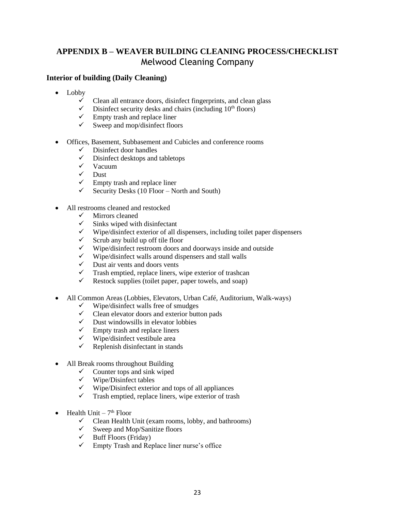# <span id="page-22-0"></span>**APPENDIX B – WEAVER BUILDING CLEANING PROCESS/CHECKLIST** Melwood Cleaning Company

#### **Interior of building (Daily Cleaning)**

- Lobby
	- $\checkmark$  Clean all entrance doors, disinfect fingerprints, and clean glass  $\checkmark$  Disinfect security desks and chairs (including 10<sup>th</sup> floors)
	- Disinfect security desks and chairs (including  $10<sup>th</sup>$  floors)
	- $\checkmark$  Empty trash and replace liner<br> $\checkmark$  Sweep and mon/disinfect floo
	- Sweep and mop/disinfect floors
- Offices, Basement, Subbasement and Cubicles and conference rooms
	- $\checkmark$  Disinfect door handles
	- $\checkmark$  Disinfect desktops and tabletops
	- ✓ Vacuum
	- $\checkmark$  Dust
	- $\checkmark$  Empty trash and replace liner
	- $\checkmark$  Security Desks (10 Floor North and South)
- All restrooms cleaned and restocked
	- $\checkmark$  Mirrors cleaned
	- $\checkmark$  Sinks wiped with disinfectant
	- $\checkmark$  Wipe/disinfect exterior of all dispensers, including toilet paper dispensers  $\checkmark$  Serub any build up off tile floor
	- $\checkmark$  Scrub any build up off tile floor
	- $\checkmark$  Wipe/disinfect restroom doors and doorways inside and outside<br> $\checkmark$  Wine/disinfect walls around dispensers and stall walls
	- $\checkmark$  Wipe/disinfect walls around dispensers and stall walls  $\checkmark$  Dust air vents and doors vents
	- $\checkmark$  Dust air vents and doors vents  $\checkmark$  Trash emptied, replace liners,
	- $\checkmark$  Trash emptied, replace liners, wipe exterior of trashcan  $\checkmark$  Restock sunnlies (toilet naner, naper towels, and soap)
	- Restock supplies (toilet paper, paper towels, and soap)
- All Common Areas (Lobbies, Elevators, Urban Café, Auditorium, Walk-ways)
	- $\checkmark$  Wipe/disinfect walls free of smudges
	- $\checkmark$  Clean elevator doors and exterior button pads
	- $\checkmark$  Dust windowsills in elevator lobbies
	- $\checkmark$  Empty trash and replace liners
	- $\checkmark$  Wipe/disinfect vestibule area
	- $\checkmark$  Replenish disinfectant in stands
- All Break rooms throughout Building
	- $\checkmark$  Counter tops and sink wiped
	- $\checkmark$  Wipe/Disinfect tables
	- $\checkmark$  Wipe/Disinfect exterior and tops of all appliances
	- $\checkmark$  Trash emptied, replace liners, wipe exterior of trash
- Health Unit  $-7<sup>th</sup>$  Floor
	- ✓ Clean Health Unit (exam rooms, lobby, and bathrooms)
	- $\checkmark$  Sweep and Mop/Sanitize floors
	- $\checkmark$  Buff Floors (Friday)
	- ✓ Empty Trash and Replace liner nurse's office